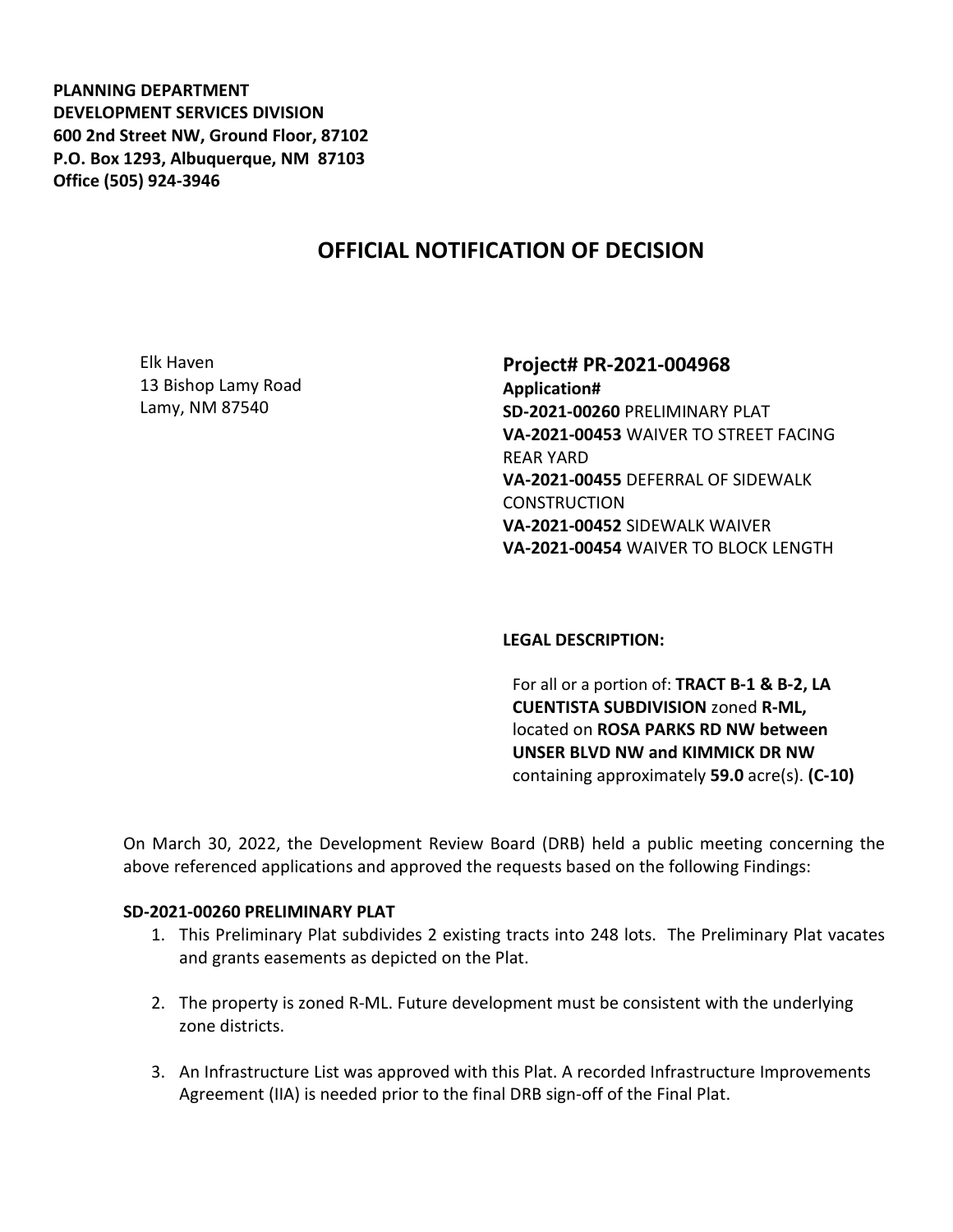**PLANNING DEPARTMENT DEVELOPMENT SERVICES DIVISION 600 2nd Street NW, Ground Floor, 87102 P.O. Box 1293, Albuquerque, NM 87103 Office (505) 924-3946** 

# **OFFICIAL NOTIFICATION OF DECISION**

Elk Haven 13 Bishop Lamy Road Lamy, NM 87540

# **Project# PR-2021-004968 Application# SD-2021-00260** PRELIMINARY PLAT **VA-2021-00453** WAIVER TO STREET FACING REAR YARD **VA-2021-00455** DEFERRAL OF SIDEWALK **CONSTRUCTION VA-2021-00452** SIDEWALK WAIVER **VA-2021-00454** WAIVER TO BLOCK LENGTH

#### **LEGAL DESCRIPTION:**

For all or a portion of: **TRACT B-1 & B-2, LA CUENTISTA SUBDIVISION** zoned **R-ML,**  located on **ROSA PARKS RD NW between UNSER BLVD NW and KIMMICK DR NW**  containing approximately **59.0** acre(s). **(C-10)**

On March 30, 2022, the Development Review Board (DRB) held a public meeting concerning the above referenced applications and approved the requests based on the following Findings:

#### **SD-2021-00260 PRELIMINARY PLAT**

- 1. This Preliminary Plat subdivides 2 existing tracts into 248 lots. The Preliminary Plat vacates and grants easements as depicted on the Plat.
- 2. The property is zoned R-ML. Future development must be consistent with the underlying zone districts.
- 3. An Infrastructure List was approved with this Plat. A recorded Infrastructure Improvements Agreement (IIA) is needed prior to the final DRB sign-off of the Final Plat.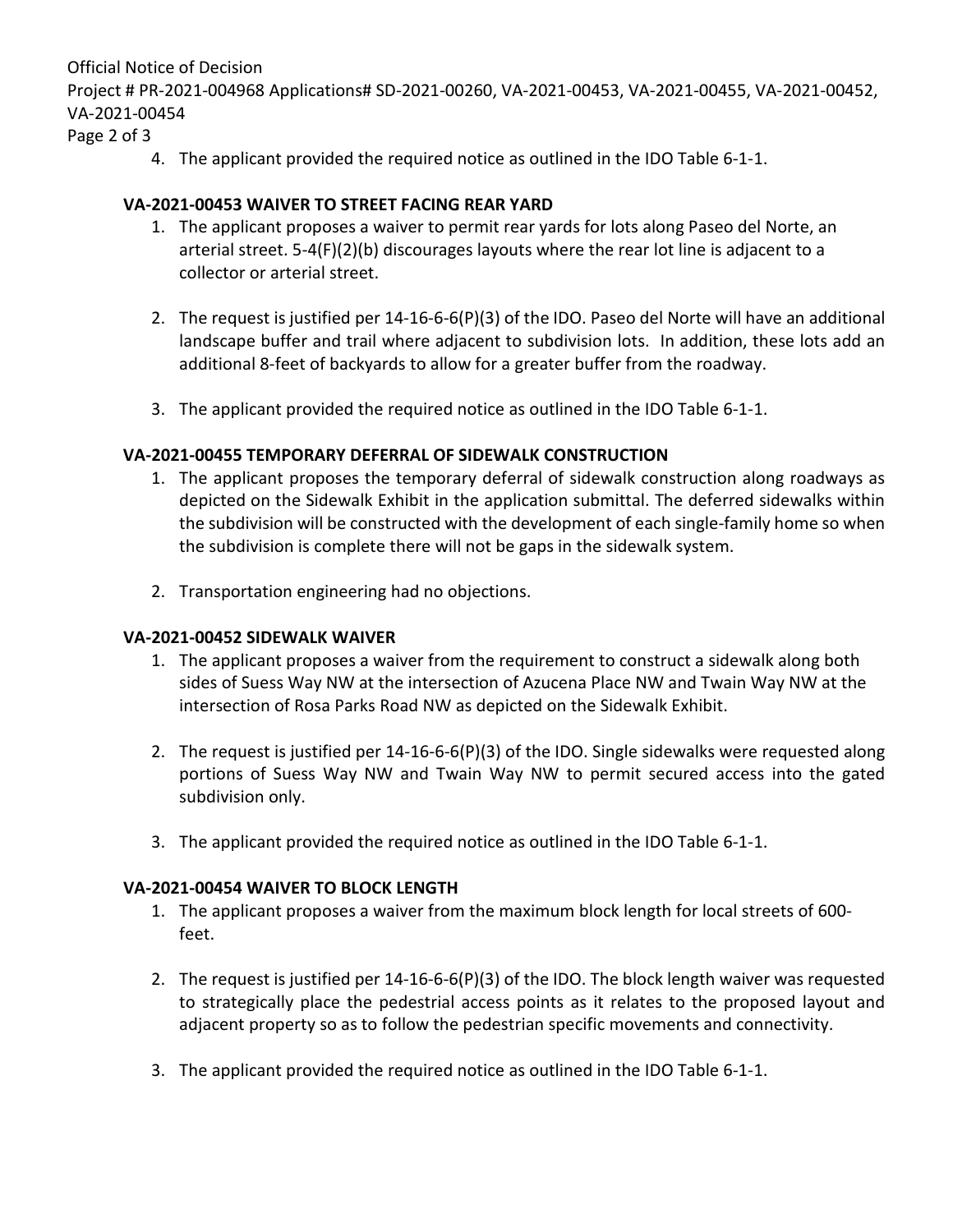Official Notice of Decision

Project # PR-2021-004968 Applications# SD-2021-00260, VA-2021-00453, VA-2021-00455, VA-2021-00452, VA-2021-00454

Page 2 of 3

4. The applicant provided the required notice as outlined in the IDO Table 6-1-1.

# **VA-2021-00453 WAIVER TO STREET FACING REAR YARD**

- 1. The applicant proposes a waiver to permit rear yards for lots along Paseo del Norte, an arterial street. 5-4(F)(2)(b) discourages layouts where the rear lot line is adjacent to a collector or arterial street.
- 2. The request is justified per 14-16-6-6(P)(3) of the IDO. Paseo del Norte will have an additional landscape buffer and trail where adjacent to subdivision lots. In addition, these lots add an additional 8-feet of backyards to allow for a greater buffer from the roadway.
- 3. The applicant provided the required notice as outlined in the IDO Table 6-1-1.

# **VA-2021-00455 TEMPORARY DEFERRAL OF SIDEWALK CONSTRUCTION**

- 1. The applicant proposes the temporary deferral of sidewalk construction along roadways as depicted on the Sidewalk Exhibit in the application submittal. The deferred sidewalks within the subdivision will be constructed with the development of each single-family home so when the subdivision is complete there will not be gaps in the sidewalk system.
- 2. Transportation engineering had no objections.

### **VA-2021-00452 SIDEWALK WAIVER**

- 1. The applicant proposes a waiver from the requirement to construct a sidewalk along both sides of Suess Way NW at the intersection of Azucena Place NW and Twain Way NW at the intersection of Rosa Parks Road NW as depicted on the Sidewalk Exhibit.
- 2. The request is justified per 14-16-6-6(P)(3) of the IDO. Single sidewalks were requested along portions of Suess Way NW and Twain Way NW to permit secured access into the gated subdivision only.
- 3. The applicant provided the required notice as outlined in the IDO Table 6-1-1.

### **VA-2021-00454 WAIVER TO BLOCK LENGTH**

- 1. The applicant proposes a waiver from the maximum block length for local streets of 600 feet.
- 2. The request is justified per 14-16-6-6(P)(3) of the IDO. The block length waiver was requested to strategically place the pedestrial access points as it relates to the proposed layout and adjacent property so as to follow the pedestrian specific movements and connectivity.
- 3. The applicant provided the required notice as outlined in the IDO Table 6-1-1.